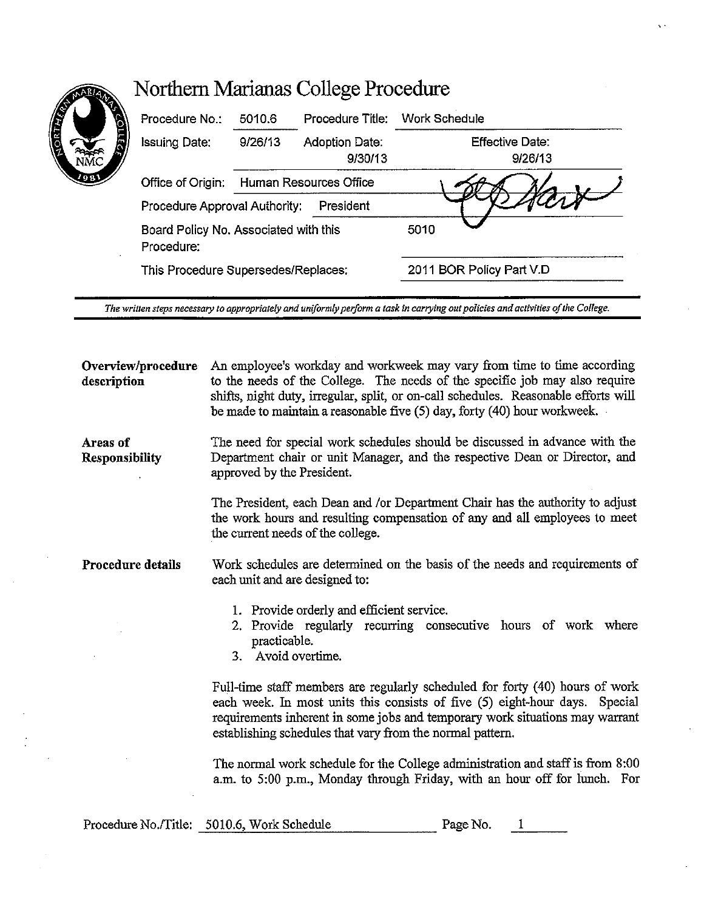| Procedure No.:                                      | 5010.6                              | Procedure Title: Work Schedule   |                                   |
|-----------------------------------------------------|-------------------------------------|----------------------------------|-----------------------------------|
| <b>Issuing Date:</b>                                | 9/26/13                             | <b>Adoption Date:</b><br>9/30/13 | <b>Effective Date:</b><br>9/26/13 |
| Office of Origin:                                   |                                     | Human Resources Office           |                                   |
| Procedure Approval Authority:                       |                                     | President                        |                                   |
| Board Policy No. Associated with this<br>Procedure: |                                     |                                  | 5010                              |
|                                                     | This Procedure Supersedes/Replaces: |                                  | 2011 BOR Policy Part V.D          |

*The written steps necessary to appropriately and uniformly peiform a task in carrying out policies and activities of the Colfege.* 

**Overview/procedure description**  An employee's workday and workweek may vary from time to time according to the needs of the College. The needs of the specific job may also require shifts, night duty, irregular, split, or on-call schedules. Reasonable efforts will be made to maintain a reasonable five (5) day, forty ( 40) hour workweek.

**Areas of Responsibility**  The need for special work schedules should be discussed in advance with the Department chair or unit Manager, and the respective Dean or Director, and approved by the President.

> The President, each Dean and /or Department Chair has the authority to adjust the work hours and resulting compensation of any and all employees to meet the current needs of the college.

**Procedure details**  Work schedules are determined on the basis of the needs and requirements of each unit and are designed to:

- 1. Provide orderly and efficient service.
- 2. Provide regularly recurring consecutive hours of work where practicable.
- 3. Avoid overtime.

Full-time staff members are regularly scheduled for forty (40) hours of work each week. In most units this consists of five (S) eight-hour days. Special requirements inherent in some jobs and temporary work situations may warrant establishing schedules that vary from the normal pattern.

The normal work schedule for the College administration and staff is from 8:00 a.m. to 5:00 p.m., Monday through Friday, with an hour off for lunch. For

| Procedure No./Title: 5010.6, Work Schedule | Page No. |  |
|--------------------------------------------|----------|--|
|                                            |          |  |